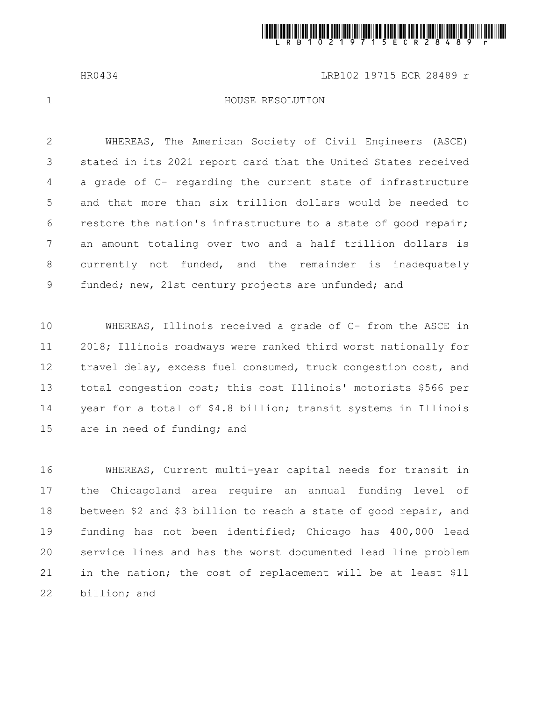

HR0434 LRB102 19715 ECR 28489 r

1

## HOUSE RESOLUTION

WHEREAS, The American Society of Civil Engineers (ASCE) stated in its 2021 report card that the United States received a grade of C- regarding the current state of infrastructure and that more than six trillion dollars would be needed to restore the nation's infrastructure to a state of good repair; an amount totaling over two and a half trillion dollars is currently not funded, and the remainder is inadequately funded; new, 21st century projects are unfunded; and 2 3 4 5 6 7 8 9

WHEREAS, Illinois received a grade of C- from the ASCE in 2018; Illinois roadways were ranked third worst nationally for travel delay, excess fuel consumed, truck congestion cost, and total congestion cost; this cost Illinois' motorists \$566 per year for a total of \$4.8 billion; transit systems in Illinois are in need of funding; and 10 11 12 13 14 15

WHEREAS, Current multi-year capital needs for transit in the Chicagoland area require an annual funding level of between \$2 and \$3 billion to reach a state of good repair, and funding has not been identified; Chicago has 400,000 lead service lines and has the worst documented lead line problem in the nation; the cost of replacement will be at least \$11 billion; and 16 17 18 19 20 21 22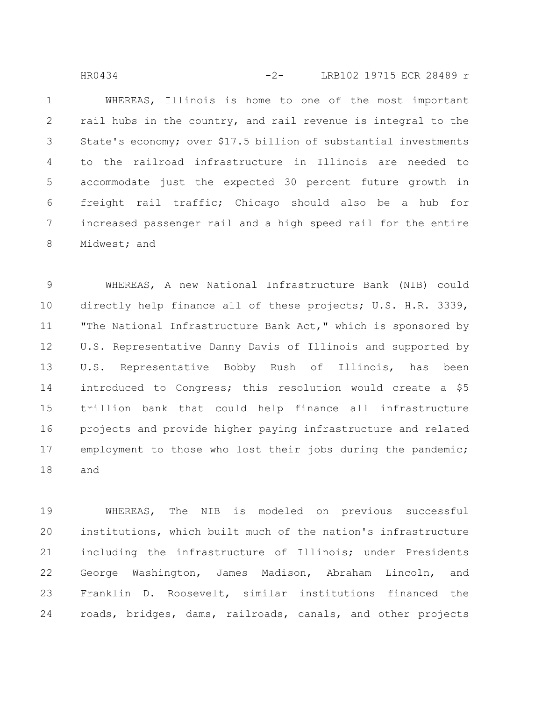WHEREAS, Illinois is home to one of the most important rail hubs in the country, and rail revenue is integral to the State's economy; over \$17.5 billion of substantial investments to the railroad infrastructure in Illinois are needed to accommodate just the expected 30 percent future growth in freight rail traffic; Chicago should also be a hub for increased passenger rail and a high speed rail for the entire Midwest; and 1 2 3 4 5 6 7 8 HR0434 -2- LRB102 19715 ECR 28489 r

WHEREAS, A new National Infrastructure Bank (NIB) could directly help finance all of these projects; U.S. H.R. 3339, "The National Infrastructure Bank Act," which is sponsored by U.S. Representative Danny Davis of Illinois and supported by U.S. Representative Bobby Rush of Illinois, has been introduced to Congress; this resolution would create a \$5 trillion bank that could help finance all infrastructure projects and provide higher paying infrastructure and related employment to those who lost their jobs during the pandemic; and 9 10 11 12 13 14 15 16 17 18

WHEREAS, The NIB is modeled on previous successful institutions, which built much of the nation's infrastructure including the infrastructure of Illinois; under Presidents George Washington, James Madison, Abraham Lincoln, and Franklin D. Roosevelt, similar institutions financed the roads, bridges, dams, railroads, canals, and other projects 19 20 21 22 23 24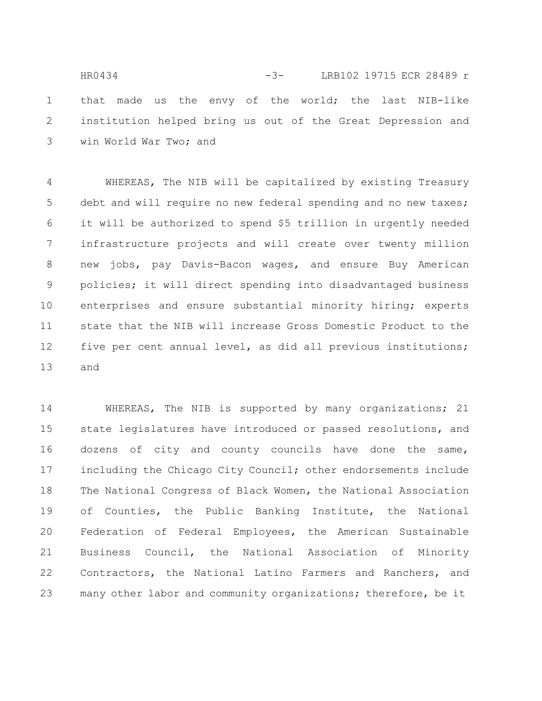that made us the envy of the world; the last NIB-like institution helped bring us out of the Great Depression and win World War Two; and 1 2 3 HR0434 -3- LRB102 19715 ECR 28489 r

WHEREAS, The NIB will be capitalized by existing Treasury debt and will require no new federal spending and no new taxes; it will be authorized to spend \$5 trillion in urgently needed infrastructure projects and will create over twenty million new jobs, pay Davis-Bacon wages, and ensure Buy American policies; it will direct spending into disadvantaged business enterprises and ensure substantial minority hiring; experts state that the NIB will increase Gross Domestic Product to the five per cent annual level, as did all previous institutions; and 4 5 6 7 8 9 10 11 12 13

WHEREAS, The NIB is supported by many organizations; 21 state legislatures have introduced or passed resolutions, and dozens of city and county councils have done the same, including the Chicago City Council; other endorsements include The National Congress of Black Women, the National Association of Counties, the Public Banking Institute, the National Federation of Federal Employees, the American Sustainable Business Council, the National Association of Minority Contractors, the National Latino Farmers and Ranchers, and many other labor and community organizations; therefore, be it 14 15 16 17 18 19 20 21 22 23